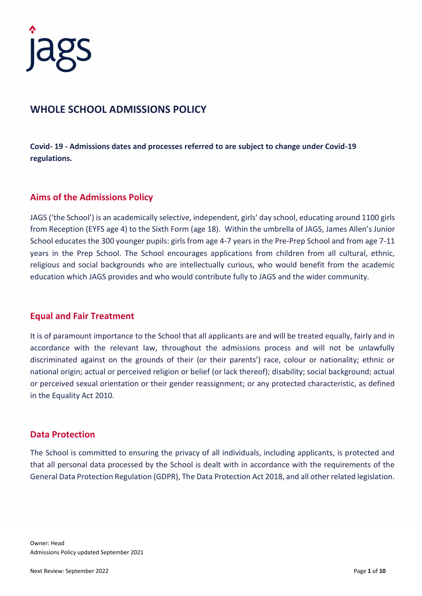

# **WHOLE SCHOOL ADMISSIONS POLICY**

**Covid- 19 - Admissions dates and processes referred to are subject to change under Covid-19 regulations.** 

#### **Aims of the Admissions Policy**

JAGS ('the School') is an academically selective, independent, girls' day school, educating around 1100 girls from Reception (EYFS age 4) to the Sixth Form (age 18). Within the umbrella of JAGS, James Allen's Junior School educates the 300 younger pupils: girls from age 4-7 years in the Pre-Prep School and from age 7-11 years in the Prep School. The School encourages applications from children from all cultural, ethnic, religious and social backgrounds who are intellectually curious, who would benefit from the academic education which JAGS provides and who would contribute fully to JAGS and the wider community.

#### **Equal and Fair Treatment**

It is of paramount importance to the School that all applicants are and will be treated equally, fairly and in accordance with the relevant law, throughout the admissions process and will not be unlawfully discriminated against on the grounds of their (or their parents') race, colour or nationality; ethnic or national origin; actual or perceived religion or belief (or lack thereof); disability; social background; actual or perceived sexual orientation or their gender reassignment; or any protected characteristic, as defined in the Equality Act 2010.

#### **Data Protection**

The School is committed to ensuring the privacy of all individuals, including applicants, is protected and that all personal data processed by the School is dealt with in accordance with the requirements of the General Data Protection Regulation (GDPR), The Data Protection Act 2018, and all other related legislation.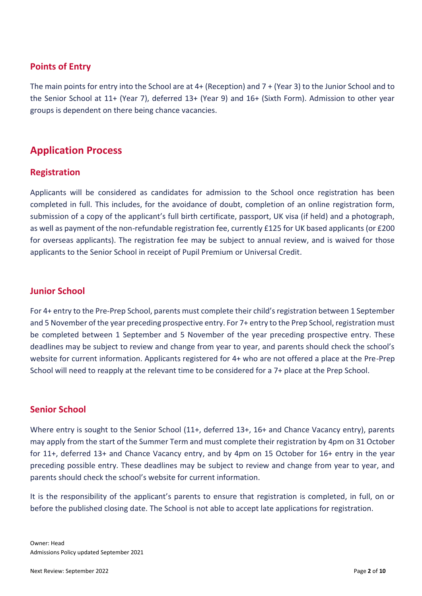## **Points of Entry**

The main points for entry into the School are at 4+ (Reception) and 7 + (Year 3) to the Junior School and to the Senior School at 11+ (Year 7), deferred 13+ (Year 9) and 16+ (Sixth Form). Admission to other year groups is dependent on there being chance vacancies.

# **Application Process**

## **Registration**

Applicants will be considered as candidates for admission to the School once registration has been completed in full. This includes, for the avoidance of doubt, completion of an online registration form, submission of a copy of the applicant's full birth certificate, passport, UK visa (if held) and a photograph, as well as payment of the non-refundable registration fee, currently £125 for UK based applicants (or £200 for overseas applicants). The registration fee may be subject to annual review, and is waived for those applicants to the Senior School in receipt of Pupil Premium or Universal Credit.

#### **Junior School**

For 4+ entry to the Pre-Prep School, parents must complete their child's registration between 1 September and 5 November of the year preceding prospective entry. For 7+ entry to the Prep School, registration must be completed between 1 September and 5 November of the year preceding prospective entry. These deadlines may be subject to review and change from year to year, and parents should check the school's website for current information. Applicants registered for 4+ who are not offered a place at the Pre-Prep School will need to reapply at the relevant time to be considered for a 7+ place at the Prep School.

#### **Senior School**

Where entry is sought to the Senior School (11+, deferred 13+, 16+ and Chance Vacancy entry), parents may apply from the start of the Summer Term and must complete their registration by 4pm on 31 October for 11+, deferred 13+ and Chance Vacancy entry, and by 4pm on 15 October for 16+ entry in the year preceding possible entry. These deadlines may be subject to review and change from year to year, and parents should check the school's website for current information.

It is the responsibility of the applicant's parents to ensure that registration is completed, in full, on or before the published closing date. The School is not able to accept late applications for registration.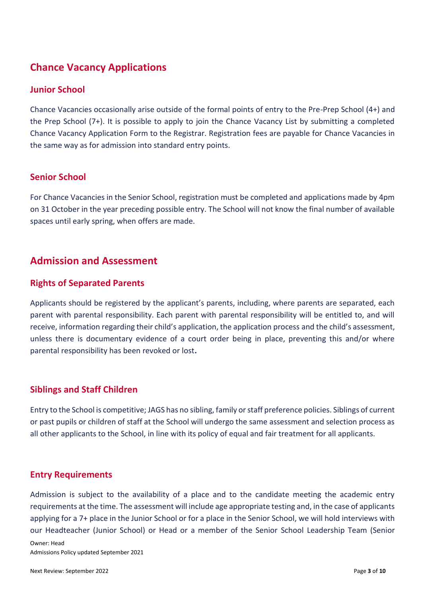# **Chance Vacancy Applications**

#### **Junior School**

Chance Vacancies occasionally arise outside of the formal points of entry to the Pre-Prep School (4+) and the Prep School (7+). It is possible to apply to join the Chance Vacancy List by submitting a completed Chance Vacancy Application Form to the Registrar. Registration fees are payable for Chance Vacancies in the same way as for admission into standard entry points.

## **Senior School**

For Chance Vacancies in the Senior School, registration must be completed and applications made by 4pm on 31 October in the year preceding possible entry. The School will not know the final number of available spaces until early spring, when offers are made.

# **Admission and Assessment**

#### **Rights of Separated Parents**

Applicants should be registered by the applicant's parents, including, where parents are separated, each parent with parental responsibility. Each parent with parental responsibility will be entitled to, and will receive, information regarding their child's application, the application process and the child's assessment, unless there is documentary evidence of a court order being in place, preventing this and/or where parental responsibility has been revoked or lost**.** 

## **Siblings and Staff Children**

Entry to the School is competitive; JAGS has no sibling, family or staff preference policies. Siblings of current or past pupils or children of staff at the School will undergo the same assessment and selection process as all other applicants to the School, in line with its policy of equal and fair treatment for all applicants.

#### **Entry Requirements**

Admission is subject to the availability of a place and to the candidate meeting the academic entry requirements at the time. The assessment will include age appropriate testing and, in the case of applicants applying for a 7+ place in the Junior School or for a place in the Senior School, we will hold interviews with our Headteacher (Junior School) or Head or a member of the Senior School Leadership Team (Senior

Admissions Policy updated September 2021

Owner: Head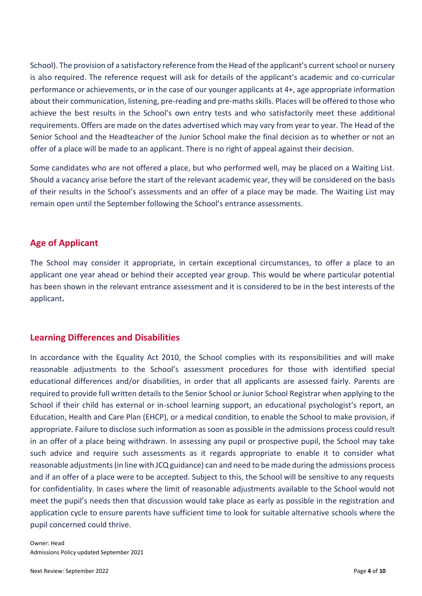School). The provision of a satisfactory reference from the Head of the applicant's current school or nursery is also required. The reference request will ask for details of the applicant's academic and co-curricular performance or achievements, or in the case of our younger applicants at 4+, age appropriate information about their communication, listening, pre-reading and pre-maths skills. Places will be offered to those who achieve the best results in the School's own entry tests and who satisfactorily meet these additional requirements. Offers are made on the dates advertised which may vary from year to year. The Head of the Senior School and the Headteacher of the Junior School make the final decision as to whether or not an offer of a place will be made to an applicant. There is no right of appeal against their decision.

Some candidates who are not offered a place, but who performed well, may be placed on a Waiting List. Should a vacancy arise before the start of the relevant academic year, they will be considered on the basis of their results in the School's assessments and an offer of a place may be made. The Waiting List may remain open until the September following the School's entrance assessments.

## **Age of Applicant**

The School may consider it appropriate, in certain exceptional circumstances, to offer a place to an applicant one year ahead or behind their accepted year group. This would be where particular potential has been shown in the relevant entrance assessment and it is considered to be in the best interests of the applicant**.** 

#### **Learning Differences and Disabilities**

In accordance with the Equality Act 2010, the School complies with its responsibilities and will make reasonable adjustments to the School's assessment procedures for those with identified special educational differences and/or disabilities, in order that all applicants are assessed fairly. Parents are required to provide full written details to the Senior School or Junior School Registrar when applying to the School if their child has external or in-school learning support, an educational psychologist's report, an Education, Health and Care Plan (EHCP), or a medical condition, to enable the School to make provision, if appropriate. Failure to disclose such information as soon as possible in the admissions process could result in an offer of a place being withdrawn. In assessing any pupil or prospective pupil, the School may take such advice and require such assessments as it regards appropriate to enable it to consider what reasonable adjustments (in line with JCQ guidance) can and need to be made during the admissions process and if an offer of a place were to be accepted. Subject to this, the School will be sensitive to any requests for confidentiality. In cases where the limit of reasonable adjustments available to the School would not meet the pupil's needs then that discussion would take place as early as possible in the registration and application cycle to ensure parents have sufficient time to look for suitable alternative schools where the pupil concerned could thrive.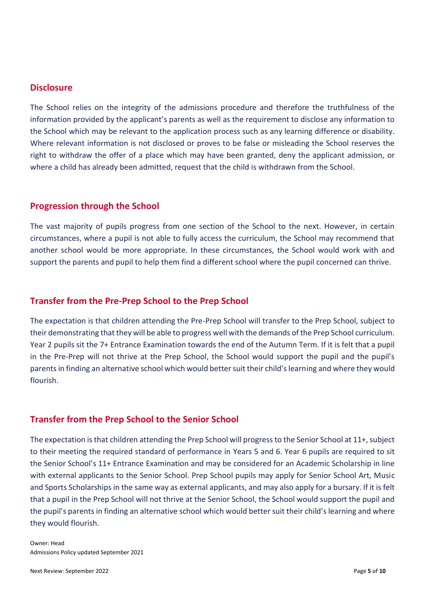#### **Disclosure**

The School relies on the integrity of the admissions procedure and therefore the truthfulness of the information provided by the applicant's parents as well as the requirement to disclose any information to the School which may be relevant to the application process such as any learning difference or disability. Where relevant information is not disclosed or proves to be false or misleading the School reserves the right to withdraw the offer of a place which may have been granted, deny the applicant admission, or where a child has already been admitted, request that the child is withdrawn from the School.

## **Progression through the School**

The vast majority of pupils progress from one section of the School to the next. However, in certain circumstances, where a pupil is not able to fully access the curriculum, the School may recommend that another school would be more appropriate. In these circumstances, the School would work with and support the parents and pupil to help them find a different school where the pupil concerned can thrive.

## **Transfer from the Pre-Prep School to the Prep School**

The expectation is that children attending the Pre-Prep School will transfer to the Prep School, subject to their demonstrating that they will be able to progress well with the demands of the Prep School curriculum. Year 2 pupils sit the 7+ Entrance Examination towards the end of the Autumn Term. If it is felt that a pupil in the Pre-Prep will not thrive at the Prep School, the School would support the pupil and the pupil's parents in finding an alternative school which would better suit their child's learning and where they would flourish.

## **Transfer from the Prep School to the Senior School**

The expectation is that children attending the Prep School will progress to the Senior School at 11+, subject to their meeting the required standard of performance in Years 5 and 6. Year 6 pupils are required to sit the Senior School's 11+ Entrance Examination and may be considered for an Academic Scholarship in line with external applicants to the Senior School. Prep School pupils may apply for Senior School Art, Music and Sports Scholarships in the same way as external applicants, and may also apply for a bursary. If it is felt that a pupil in the Prep School will not thrive at the Senior School, the School would support the pupil and the pupil's parents in finding an alternative school which would better suit their child's learning and where they would flourish.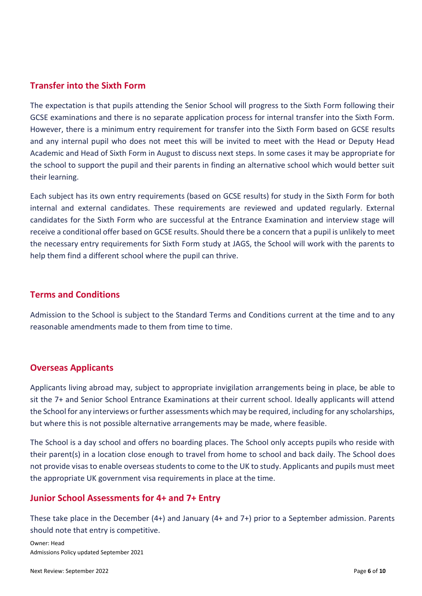### **Transfer into the Sixth Form**

The expectation is that pupils attending the Senior School will progress to the Sixth Form following their GCSE examinations and there is no separate application process for internal transfer into the Sixth Form. However, there is a minimum entry requirement for transfer into the Sixth Form based on GCSE results and any internal pupil who does not meet this will be invited to meet with the Head or Deputy Head Academic and Head of Sixth Form in August to discuss next steps. In some cases it may be appropriate for the school to support the pupil and their parents in finding an alternative school which would better suit their learning.

Each subject has its own entry requirements (based on GCSE results) for study in the Sixth Form for both internal and external candidates. These requirements are reviewed and updated regularly. External candidates for the Sixth Form who are successful at the Entrance Examination and interview stage will receive a conditional offer based on GCSE results. Should there be a concern that a pupil is unlikely to meet the necessary entry requirements for Sixth Form study at JAGS, the School will work with the parents to help them find a different school where the pupil can thrive.

#### **Terms and Conditions**

Admission to the School is subject to the Standard Terms and Conditions current at the time and to any reasonable amendments made to them from time to time.

#### **Overseas Applicants**

Applicants living abroad may, subject to appropriate invigilation arrangements being in place, be able to sit the 7+ and Senior School Entrance Examinations at their current school. Ideally applicants will attend the School for any interviews or further assessments which may be required, including for any scholarships, but where this is not possible alternative arrangements may be made, where feasible.

The School is a day school and offers no boarding places. The School only accepts pupils who reside with their parent(s) in a location close enough to travel from home to school and back daily. The School does not provide visas to enable overseas students to come to the UK to study. Applicants and pupils must meet the appropriate UK government visa requirements in place at the time.

#### **Junior School Assessments for 4+ and 7+ Entry**

These take place in the December (4+) and January (4+ and 7+) prior to a September admission. Parents should note that entry is competitive.

Owner: Head Admissions Policy updated September 2021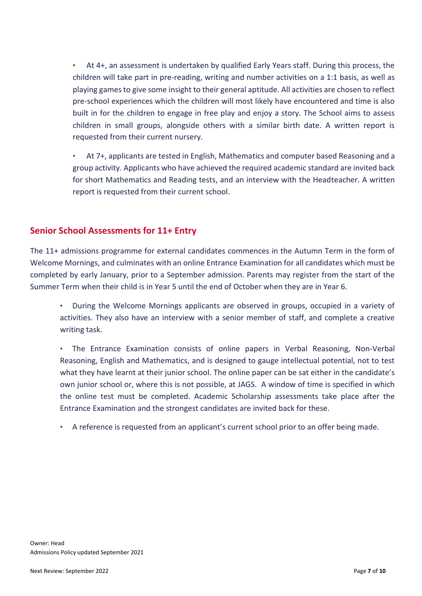• At 4+, an assessment is undertaken by qualified Early Years staff. During this process, the children will take part in pre-reading, writing and number activities on a 1:1 basis, as well as playing games to give some insight to their general aptitude. All activities are chosen to reflect pre-school experiences which the children will most likely have encountered and time is also built in for the children to engage in free play and enjoy a story. The School aims to assess children in small groups, alongside others with a similar birth date. A written report is requested from their current nursery.

• At 7+, applicants are tested in English, Mathematics and computer based Reasoning and a group activity. Applicants who have achieved the required academic standard are invited back for short Mathematics and Reading tests, and an interview with the Headteacher. A written report is requested from their current school.

## **Senior School Assessments for 11+ Entry**

The 11+ admissions programme for external candidates commences in the Autumn Term in the form of Welcome Mornings, and culminates with an online Entrance Examination for all candidates which must be completed by early January, prior to a September admission. Parents may register from the start of the Summer Term when their child is in Year 5 until the end of October when they are in Year 6.

• During the Welcome Mornings applicants are observed in groups, occupied in a variety of activities. They also have an interview with a senior member of staff, and complete a creative writing task.

• The Entrance Examination consists of online papers in Verbal Reasoning, Non-Verbal Reasoning, English and Mathematics, and is designed to gauge intellectual potential, not to test what they have learnt at their junior school. The online paper can be sat either in the candidate's own junior school or, where this is not possible, at JAGS. A window of time is specified in which the online test must be completed. Academic Scholarship assessments take place after the Entrance Examination and the strongest candidates are invited back for these.

• A reference is requested from an applicant's current school prior to an offer being made.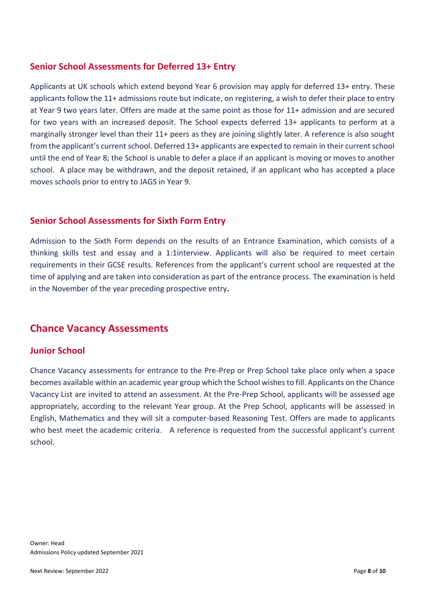## **Senior School Assessments for Deferred 13+ Entry**

Applicants at UK schools which extend beyond Year 6 provision may apply for deferred 13+ entry. These applicants follow the 11+ admissions route but indicate, on registering, a wish to defer their place to entry at Year 9 two years later. Offers are made at the same point as those for 11+ admission and are secured for two years with an increased deposit. The School expects deferred 13+ applicants to perform at a marginally stronger level than their 11+ peers as they are joining slightly later. A reference is also sought from the applicant's current school. Deferred 13+ applicants are expected to remain in their current school until the end of Year 8; the School is unable to defer a place if an applicant is moving or moves to another school. A place may be withdrawn, and the deposit retained, if an applicant who has accepted a place moves schools prior to entry to JAGS in Year 9.

## **Senior School Assessments for Sixth Form Entry**

Admission to the Sixth Form depends on the results of an Entrance Examination, which consists of a thinking skills test and essay and a 1:1interview. Applicants will also be required to meet certain requirements in their GCSE results. References from the applicant's current school are requested at the time of applying and are taken into consideration as part of the entrance process. The examination is held in the November of the year preceding prospective entry**.** 

# **Chance Vacancy Assessments**

## **Junior School**

Chance Vacancy assessments for entrance to the Pre-Prep or Prep School take place only when a space becomes available within an academic year group which the School wishes to fill. Applicants on the Chance Vacancy List are invited to attend an assessment. At the Pre-Prep School, applicants will be assessed age appropriately, according to the relevant Year group. At the Prep School, applicants will be assessed in English, Mathematics and they will sit a computer-based Reasoning Test. Offers are made to applicants who best meet the academic criteria. A reference is requested from the successful applicant's current school.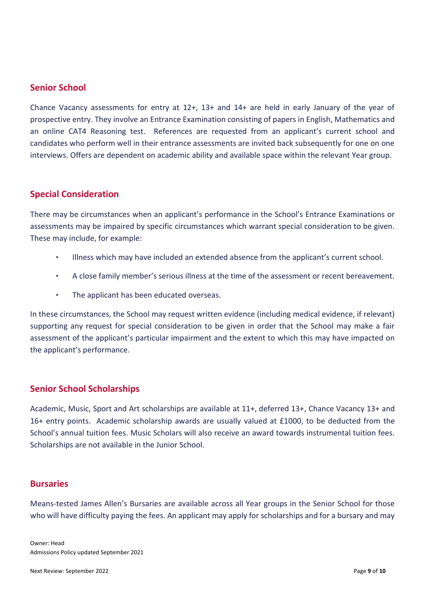## **Senior School**

Chance Vacancy assessments for entry at 12+, 13+ and 14+ are held in early January of the year of prospective entry. They involve an Entrance Examination consisting of papers in English, Mathematics and an online CAT4 Reasoning test. References are requested from an applicant's current school and candidates who perform well in their entrance assessments are invited back subsequently for one on one interviews. Offers are dependent on academic ability and available space within the relevant Year group.

#### **Special Consideration**

There may be circumstances when an applicant's performance in the School's Entrance Examinations or assessments may be impaired by specific circumstances which warrant special consideration to be given. These may include, for example:

- Illness which may have included an extended absence from the applicant's current school.
- A close family member's serious illness at the time of the assessment or recent bereavement.
- The applicant has been educated overseas.

In these circumstances, the School may request written evidence (including medical evidence, if relevant) supporting any request for special consideration to be given in order that the School may make a fair assessment of the applicant's particular impairment and the extent to which this may have impacted on the applicant's performance.

#### **Senior School Scholarships**

Academic, Music, Sport and Art scholarships are available at 11+, deferred 13+, Chance Vacancy 13+ and 16+ entry points. Academic scholarship awards are usually valued at £1000, to be deducted from the School's annual tuition fees. Music Scholars will also receive an award towards instrumental tuition fees. Scholarships are not available in the Junior School.

#### **Bursaries**

Means-tested James Allen's Bursaries are available across all Year groups in the Senior School for those who will have difficulty paying the fees. An applicant may apply for scholarships and for a bursary and may